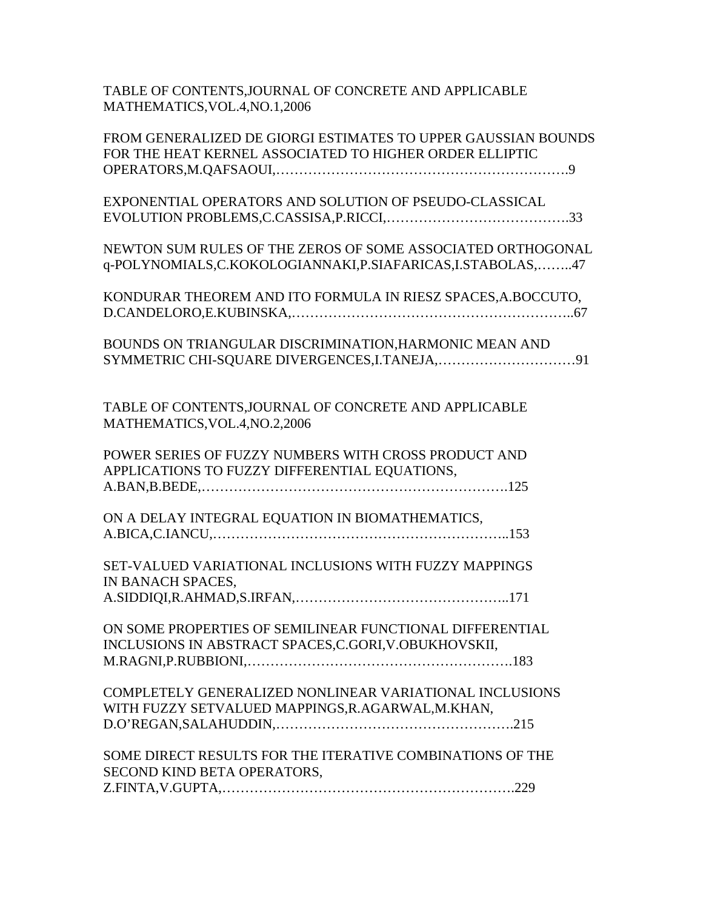## TABLE OF CONTENTS,JOURNAL OF CONCRETE AND APPLICABLE MATHEMATICS,VOL.4,NO.1,2006

| FROM GENERALIZED DE GIORGI ESTIMATES TO UPPER GAUSSIAN BOUNDS |
|---------------------------------------------------------------|
| FOR THE HEAT KERNEL ASSOCIATED TO HIGHER ORDER ELLIPTIC       |
|                                                               |
| EXPONENTIAL OPERATORS AND SOLUTION OF PSEUDO-CLASSICAL        |
|                                                               |
|                                                               |
| NEWTON SUM RULES OF THE ZEROS OF SOME ASSOCIATED ORTHOGONAL   |
| q-POLYNOMIALS,C.KOKOLOGIANNAKI,P.SIAFARICAS,I.STABOLAS,47     |
|                                                               |
| KONDURAR THEOREM AND ITO FORMULA IN RIESZ SPACES, A.BOCCUTO,  |
|                                                               |
|                                                               |
| BOUNDS ON TRIANGULAR DISCRIMINATION, HARMONIC MEAN AND        |
| SYMMETRIC CHI-SQUARE DIVERGENCES, I. TANEJA,91                |
|                                                               |
|                                                               |
| TABLE OF CONTENTS, JOURNAL OF CONCRETE AND APPLICABLE         |
| MATHEMATICS, VOL.4, NO.2, 2006                                |
|                                                               |
| POWER SERIES OF FUZZY NUMBERS WITH CROSS PRODUCT AND          |
| APPLICATIONS TO FUZZY DIFFERENTIAL EQUATIONS,                 |
|                                                               |
| ON A DELAY INTEGRAL EQUATION IN BIOMATHEMATICS,               |
|                                                               |
|                                                               |
| SET-VALUED VARIATIONAL INCLUSIONS WITH FUZZY MAPPINGS         |
| IN BANACH SPACES,                                             |
|                                                               |
|                                                               |
| ON SOME PROPERTIES OF SEMILINEAR FUNCTIONAL DIFFERENTIAL      |
| INCLUSIONS IN ABSTRACT SPACES, C.GORI, V.OBUKHOVSKII,         |
|                                                               |
|                                                               |
| COMPLETELY GENERALIZED NONLINEAR VARIATIONAL INCLUSIONS       |
| WITH FUZZY SETVALUED MAPPINGS, R.AGARWAL, M.KHAN,             |
|                                                               |
|                                                               |
| SOME DIRECT RESULTS FOR THE ITERATIVE COMBINATIONS OF THE     |
| SECOND KIND BETA OPERATORS,                                   |
|                                                               |
|                                                               |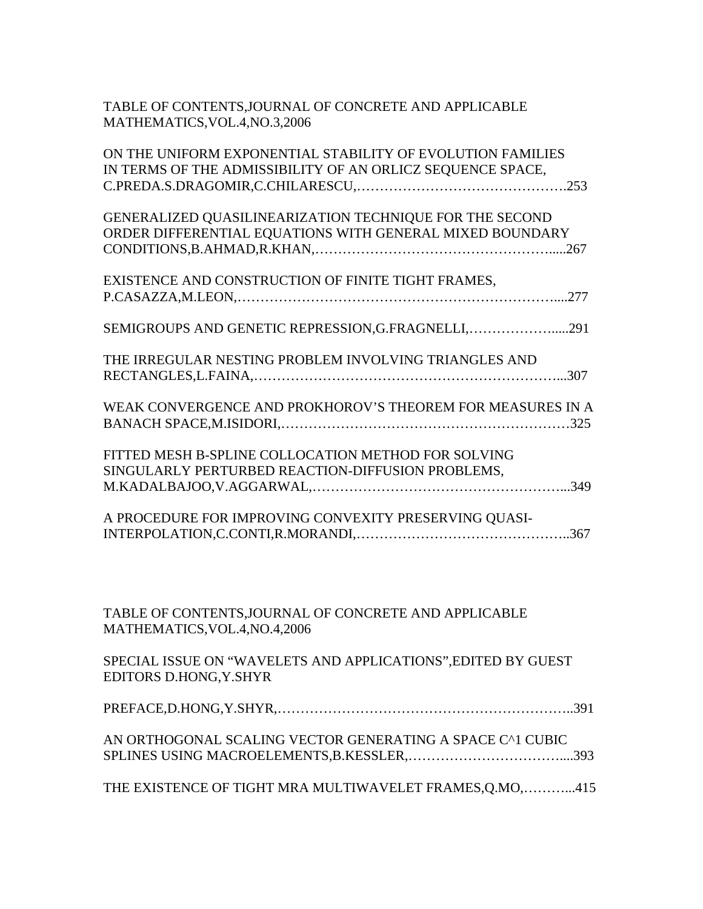| TABLE OF CONTENTS, JOURNAL OF CONCRETE AND APPLICABLE<br>MATHEMATICS, VOL.4, NO.3, 2006                                  |
|--------------------------------------------------------------------------------------------------------------------------|
| ON THE UNIFORM EXPONENTIAL STABILITY OF EVOLUTION FAMILIES<br>IN TERMS OF THE ADMISSIBILITY OF AN ORLICZ SEQUENCE SPACE, |
| GENERALIZED QUASILINEARIZATION TECHNIQUE FOR THE SECOND<br>ORDER DIFFERENTIAL EQUATIONS WITH GENERAL MIXED BOUNDARY      |
| EXISTENCE AND CONSTRUCTION OF FINITE TIGHT FRAMES,                                                                       |
| SEMIGROUPS AND GENETIC REPRESSION, G.FRAGNELLI,291                                                                       |
| THE IRREGULAR NESTING PROBLEM INVOLVING TRIANGLES AND                                                                    |
| WEAK CONVERGENCE AND PROKHOROV'S THEOREM FOR MEASURES IN A                                                               |
| FITTED MESH B-SPLINE COLLOCATION METHOD FOR SOLVING<br>SINGULARLY PERTURBED REACTION-DIFFUSION PROBLEMS,                 |
| A PROCEDURE FOR IMPROVING CONVEXITY PRESERVING QUASI-                                                                    |
|                                                                                                                          |
| TABLE OF CONTENTS, JOURNAL OF CONCRETE AND APPLICABLE<br>MATHEMATICS, VOL.4, NO.4, 2006                                  |
| SPECIAL ISSUE ON "WAVELETS AND APPLICATIONS", EDITED BY GUEST<br>EDITORS D.HONG, Y.SHYR                                  |
|                                                                                                                          |
| AN ORTHOGONAL SCALING VECTOR GENERATING A SPACE C^1 CUBIC                                                                |
| THE EXISTENCE OF TIGHT MRA MULTIWAVELET FRAMES, Q.MO,415                                                                 |
|                                                                                                                          |